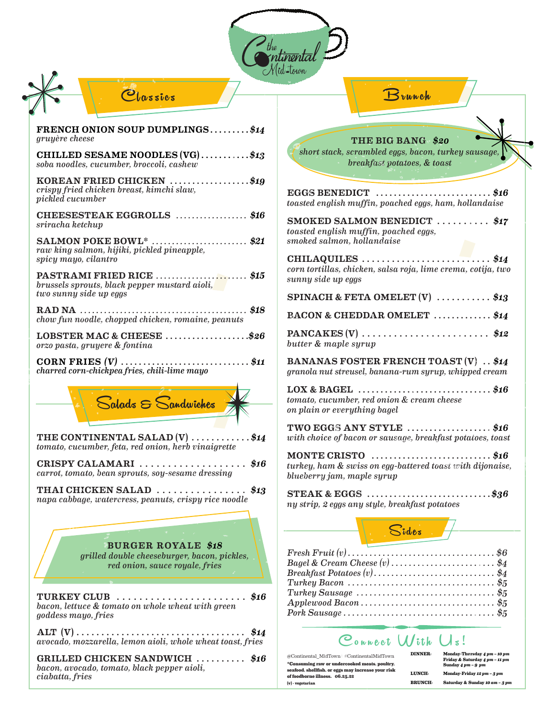| Mid-town                                                                                                                                           |                                                                                                                                                                                                                                                                                                                                                                                                             |
|----------------------------------------------------------------------------------------------------------------------------------------------------|-------------------------------------------------------------------------------------------------------------------------------------------------------------------------------------------------------------------------------------------------------------------------------------------------------------------------------------------------------------------------------------------------------------|
| $C$ <i>lassies</i>                                                                                                                                 | Brunch                                                                                                                                                                                                                                                                                                                                                                                                      |
| FRENCH ONION SOUP DUMPLINGS\$14<br>gruyère cheese<br>CHILLED SESAME NOODLES $(VG)$ \$13<br>soba noodles, cucumber, broccoli, cashew                | THE BIG BANG \$20<br>short stack, scrambled eggs, bacon, turkey sausage,<br>breakfast potatoes, & toast                                                                                                                                                                                                                                                                                                     |
| KOREAN FRIED CHICKEN $\ldots$ \$19<br>crispy fried chicken breast, kimchi slaw,<br><i>pickled</i> cucumber                                         | EGGS BENEDICT $\ldots$ \$16<br>toasted english muffin, poached eggs, ham, hollandaise                                                                                                                                                                                                                                                                                                                       |
| CHEESESTEAK EGGROLLS \$16<br>sriracha ketchup<br>SALMON POKE BOWL <sup>*</sup> \$21                                                                | SMOKED SALMON BENEDICT $\ldots \ldots \ldots$ \$17<br>toasted english muffin, poached eggs,<br>smoked salmon, hollandaise                                                                                                                                                                                                                                                                                   |
| raw king salmon, hijiki, pickled pineapple,<br>$spicy$ mayo, $cilantro$<br>brussels sprouts, black pepper mustard aioli,<br>two sunny side up eggs | CHILAQUILES \$14<br>corn tortillas, chicken, salsa roja, lime crema, cotija, two<br>sunny side up eggs                                                                                                                                                                                                                                                                                                      |
| chow fun noodle, chopped chicken, romaine, peanuts                                                                                                 | SPINACH & FETA OMELET $(V)$ \$13<br>BACON & CHEDDAR OMELET  \$14                                                                                                                                                                                                                                                                                                                                            |
| LOBSTER MAC & CHEESE \$26<br>orzo pasta, gruyere & fontina                                                                                         | PANCAKES $(V)$ \$12<br>butter & maple syrup                                                                                                                                                                                                                                                                                                                                                                 |
| CORN FRIES $(V)$ \$11<br>charred corn-chickpea fries, chili-lime mayo                                                                              | <b>BANANAS FOSTER FRENCH TOAST (V). \$14</b><br>granola nut streusel, banana-rum syrup, whipped cream                                                                                                                                                                                                                                                                                                       |
| Salads & Sandwiches                                                                                                                                | $LOX & BAGEL$ \$16<br>tomato, cucumber, red onion & cream cheese<br>on plain or everything bagel                                                                                                                                                                                                                                                                                                            |
| THE CONTINENTAL SALAD $(V)$ \$14<br>tomato, cucumber, feta, red onion, herb vinaigrette                                                            | TWO EGGS ANY STYLE $\ldots$ \$16<br>with choice of bacon or sausage, breakfast potatoes, toast                                                                                                                                                                                                                                                                                                              |
| CRISPY CALAMARI $\ldots \ldots \ldots \ldots \ldots$ \$16<br>carrot, tomato, bean sprouts, soy-sesame dressing                                     | MONTE CRISTO<br>\$16<br>turkey, ham & swiss on egg-battered toast with dijonaise,<br>blueberry jam, maple syrup                                                                                                                                                                                                                                                                                             |
| THAI CHICKEN SALAD $\ldots \ldots \ldots \ldots \ldots$ \$13<br>napa cabbage, watercress, peanuts, crispy rice noodle                              | STEAK & EGGS $\dots\dots\dots\dots\dots\dots\dots\dots\dots\dots$ \$36<br>ny strip, 2 eggs any style, breakfast potatoes                                                                                                                                                                                                                                                                                    |
| <b>BURGER ROYALE \$18</b><br>grilled double cheeseburger, bacon, pickles,<br>red onion, sauce royale, fries                                        | Side<br>Bagel & Cream Cheese $(v)$ \$4<br>Breakfast Potatoes $(v)$ \$4                                                                                                                                                                                                                                                                                                                                      |
| TURKEY CLUB $\ldots \ldots \ldots \ldots \ldots \ldots \ldots$ \$16<br>bacon, lettuce & tomato on whole wheat with green<br>goddess mayo, fries    | $Turkey$ Sausage $\ldots \ldots \ldots \ldots \ldots \ldots \ldots \ldots \ldots \ldots$ \$5<br>Pork Sausage $\dots \dots \dots \dots \dots \dots \dots \dots \dots \dots \$                                                                                                                                                                                                                                |
| \$14                                                                                                                                               | Connect With                                                                                                                                                                                                                                                                                                                                                                                                |
| GRILLED CHICKEN SANDWICH $\ldots \ldots \ldots$ \$16<br>bacon, avocado, tomato, black pepper aioli,<br>ciabatta, fries                             | <b>DINNER:</b><br>Monday-Thursday 4 pm - 10 pm<br>@Continental_MidTown #ContinentalMidTown<br>Friday & Saturday 4 pm - 11 pm<br>*Consuming raw or undercooked meats, poultry,<br>Sunday 4 pm - 9 pm<br>seafood, shellfish, or eggs may increase your risk<br>LUNCH:<br>Monday-Friday 12 pm - 3 pm<br>of foodborne illness. 06.25.22<br><b>BRUNCH:</b><br>Saturday & Sunday 10 am - 3 pm<br>(v) - vegetarian |